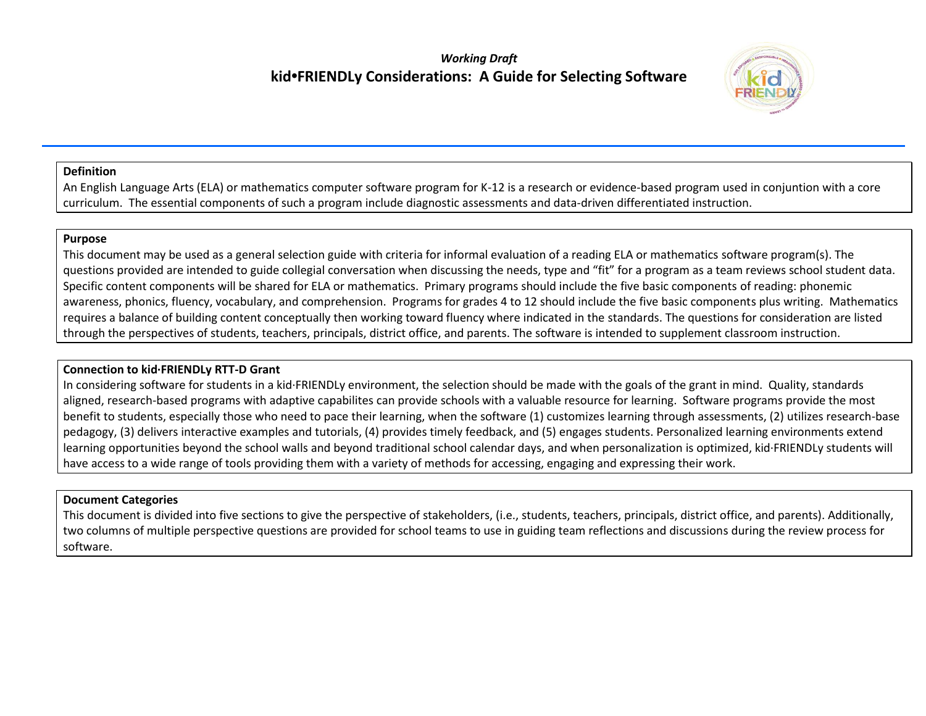# *Working Draft* **kid•FRIENDLy Considerations: A Guide for Selecting Software**



## **Definition**

An English Language Arts (ELA) or mathematics computer software program for K-12 is a research or evidence-based program used in conjuntion with a core curriculum. The essential components of such a program include diagnostic assessments and data-driven differentiated instruction.

#### **Purpose**

This document may be used as a general selection guide with criteria for informal evaluation of a reading ELA or mathematics software program(s). The questions provided are intended to guide collegial conversation when discussing the needs, type and "fit" for a program as a team reviews school student data. Specific content components will be shared for ELA or mathematics. Primary programs should include the five basic components of reading: phonemic awareness, phonics, fluency, vocabulary, and comprehension. Programs for grades 4 to 12 should include the five basic components plus writing. Mathematics requires a balance of building content conceptually then working toward fluency where indicated in the standards. The questions for consideration are listed through the perspectives of students, teachers, principals, district office, and parents. The software is intended to supplement classroom instruction.

## **Connection to kid∙FRIENDLy RTT-D Grant**

In considering software for students in a kid∙FRIENDLy environment, the selection should be made with the goals of the grant in mind. Quality, standards aligned, research-based programs with adaptive capabilites can provide schools with a valuable resource for learning. Software programs provide the most benefit to students, especially those who need to pace their learning, when the software (1) customizes learning through assessments, (2) utilizes research-base pedagogy, (3) delivers interactive examples and tutorials, (4) provides timely feedback, and (5) engages students. Personalized learning environments extend learning opportunities beyond the school walls and beyond traditional school calendar days, and when personalization is optimized, kid∙FRIENDLy students will have access to a wide range of tools providing them with a variety of methods for accessing, engaging and expressing their work.

## **Document Categories**

This document is divided into five sections to give the perspective of stakeholders, (i.e., students, teachers, principals, district office, and parents). Additionally, two columns of multiple perspective questions are provided for school teams to use in guiding team reflections and discussions during the review process for software.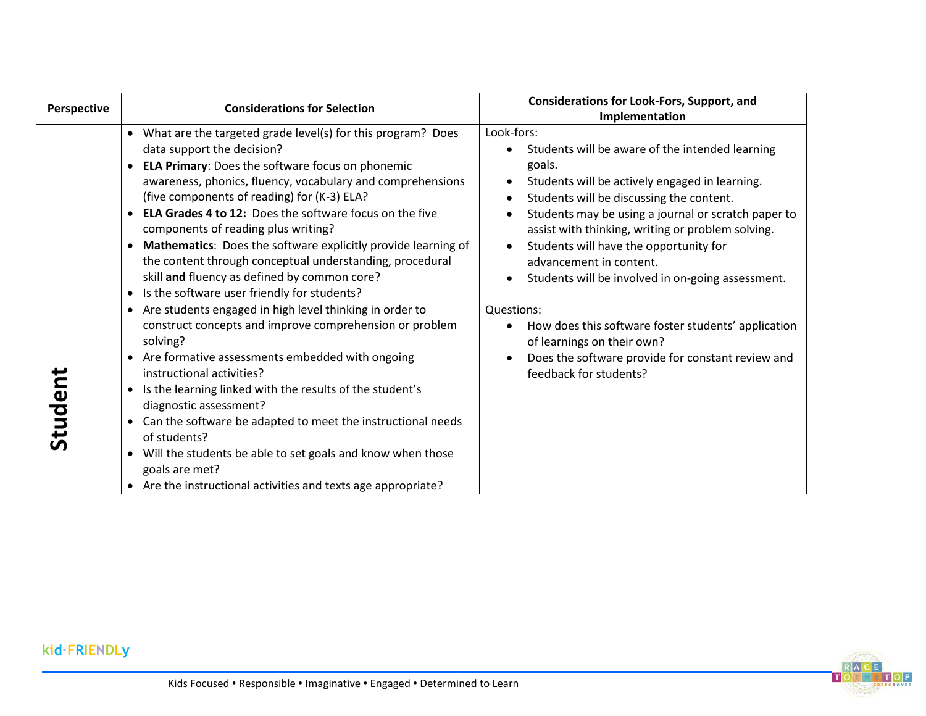| <b>Perspective</b>                                                                                                                                                                                                                                                                                                                                       |
|----------------------------------------------------------------------------------------------------------------------------------------------------------------------------------------------------------------------------------------------------------------------------------------------------------------------------------------------------------|
| • What are the targeted grade level(s) for this program? Does<br>• ELA Primary: Does the software focus on phonemic<br>• Mathematics: Does the software explicitly provide learning of<br>$\bullet$<br>• Are students engaged in high level thinking in order to<br>Studen<br>$\bullet$<br>• Are the instructional activities and texts age appropriate? |



# **kid∙FRIENDLy**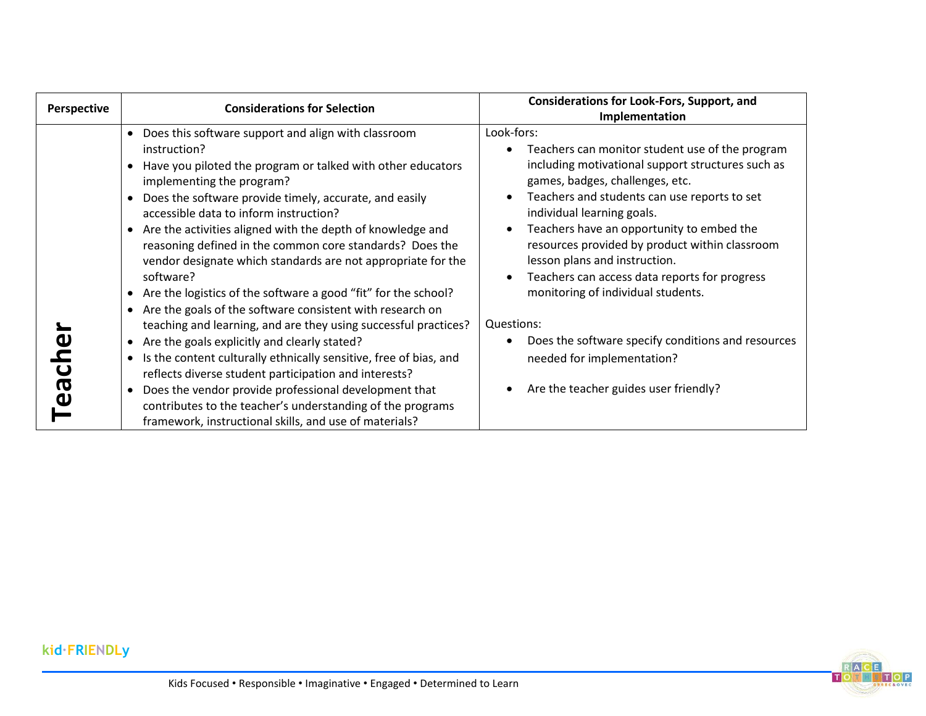| Perspective                | <b>Considerations for Selection</b>                                                                                                                                                                                                                                                                                                                                                                                                                                                                                                                                                                                                                                                                                                                                                                                                                                                                                                                                                                                                                      | <b>Considerations for Look-Fors, Support, and</b><br>Implementation                                                                                                                                                                                                                                                                                                                                                                                                                                                                                                                                   |
|----------------------------|----------------------------------------------------------------------------------------------------------------------------------------------------------------------------------------------------------------------------------------------------------------------------------------------------------------------------------------------------------------------------------------------------------------------------------------------------------------------------------------------------------------------------------------------------------------------------------------------------------------------------------------------------------------------------------------------------------------------------------------------------------------------------------------------------------------------------------------------------------------------------------------------------------------------------------------------------------------------------------------------------------------------------------------------------------|-------------------------------------------------------------------------------------------------------------------------------------------------------------------------------------------------------------------------------------------------------------------------------------------------------------------------------------------------------------------------------------------------------------------------------------------------------------------------------------------------------------------------------------------------------------------------------------------------------|
| $\overline{C}$<br><u>რ</u> | Does this software support and align with classroom<br>instruction?<br>Have you piloted the program or talked with other educators<br>implementing the program?<br>Does the software provide timely, accurate, and easily<br>accessible data to inform instruction?<br>Are the activities aligned with the depth of knowledge and<br>reasoning defined in the common core standards? Does the<br>vendor designate which standards are not appropriate for the<br>software?<br>Are the logistics of the software a good "fit" for the school?<br>Are the goals of the software consistent with research on<br>teaching and learning, and are they using successful practices?<br>Are the goals explicitly and clearly stated?<br>Is the content culturally ethnically sensitive, free of bias, and<br>$\bullet$<br>reflects diverse student participation and interests?<br>Does the vendor provide professional development that<br>contributes to the teacher's understanding of the programs<br>framework, instructional skills, and use of materials? | Look-fors:<br>Teachers can monitor student use of the program<br>including motivational support structures such as<br>games, badges, challenges, etc.<br>Teachers and students can use reports to set<br>individual learning goals.<br>Teachers have an opportunity to embed the<br>resources provided by product within classroom<br>lesson plans and instruction.<br>Teachers can access data reports for progress<br>monitoring of individual students.<br>Questions:<br>Does the software specify conditions and resources<br>needed for implementation?<br>Are the teacher guides user friendly? |



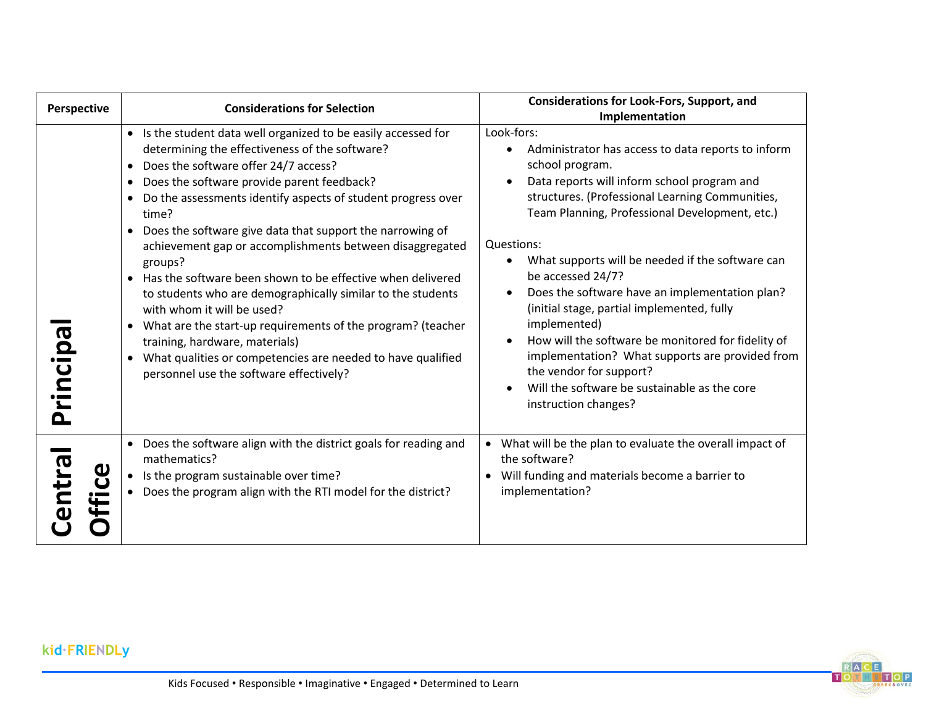| Perspective           | <b>Considerations for Selection</b>                                                                                                                                                                                                                                                                                                                                                                                                                                                                                                                                                                                                                                                                                                                                                                                                               | <b>Considerations for Look-Fors, Support, and</b><br>Implementation                                                                                                                                                                                                                                                                                                                                                                                                                                                                                                                                                                                        |
|-----------------------|---------------------------------------------------------------------------------------------------------------------------------------------------------------------------------------------------------------------------------------------------------------------------------------------------------------------------------------------------------------------------------------------------------------------------------------------------------------------------------------------------------------------------------------------------------------------------------------------------------------------------------------------------------------------------------------------------------------------------------------------------------------------------------------------------------------------------------------------------|------------------------------------------------------------------------------------------------------------------------------------------------------------------------------------------------------------------------------------------------------------------------------------------------------------------------------------------------------------------------------------------------------------------------------------------------------------------------------------------------------------------------------------------------------------------------------------------------------------------------------------------------------------|
| ნQ<br>rincip          | • Is the student data well organized to be easily accessed for<br>determining the effectiveness of the software?<br>Does the software offer 24/7 access?<br>$\bullet$<br>Does the software provide parent feedback?<br>$\bullet$<br>Do the assessments identify aspects of student progress over<br>time?<br>• Does the software give data that support the narrowing of<br>achievement gap or accomplishments between disaggregated<br>groups?<br>• Has the software been shown to be effective when delivered<br>to students who are demographically similar to the students<br>with whom it will be used?<br>What are the start-up requirements of the program? (teacher<br>$\bullet$<br>training, hardware, materials)<br>What qualities or competencies are needed to have qualified<br>$\bullet$<br>personnel use the software effectively? | Look-fors:<br>Administrator has access to data reports to inform<br>school program.<br>Data reports will inform school program and<br>structures. (Professional Learning Communities,<br>Team Planning, Professional Development, etc.)<br>Questions:<br>What supports will be needed if the software can<br>be accessed 24/7?<br>Does the software have an implementation plan?<br>(initial stage, partial implemented, fully<br>implemented)<br>How will the software be monitored for fidelity of<br>implementation? What supports are provided from<br>the vendor for support?<br>Will the software be sustainable as the core<br>instruction changes? |
| <u>por</u><br>-N<br>D | • Does the software align with the district goals for reading and<br>mathematics?<br>Is the program sustainable over time?<br>$\bullet$<br>Does the program align with the RTI model for the district?                                                                                                                                                                                                                                                                                                                                                                                                                                                                                                                                                                                                                                            | • What will be the plan to evaluate the overall impact of<br>the software?<br>Will funding and materials become a barrier to<br>implementation?                                                                                                                                                                                                                                                                                                                                                                                                                                                                                                            |



**kid∙FRIENDLy**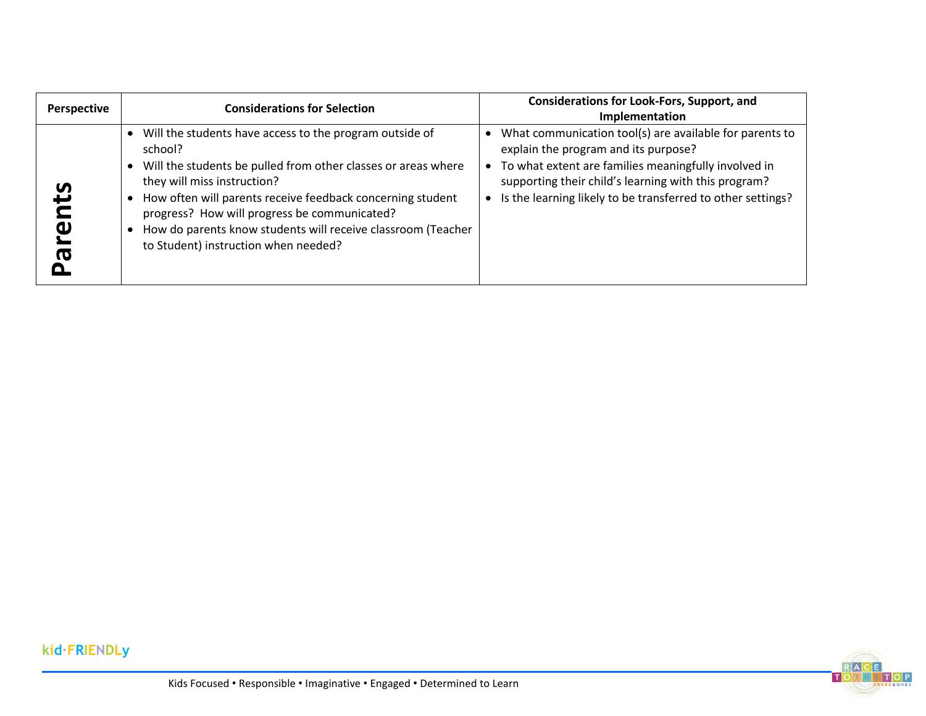| Perspective | <b>Considerations for Selection</b>                                                                                                                                                                                                                                                                                                                                                      | <b>Considerations for Look-Fors, Support, and</b><br>Implementation                                                                                                                                                                                                            |
|-------------|------------------------------------------------------------------------------------------------------------------------------------------------------------------------------------------------------------------------------------------------------------------------------------------------------------------------------------------------------------------------------------------|--------------------------------------------------------------------------------------------------------------------------------------------------------------------------------------------------------------------------------------------------------------------------------|
| n<br>ത      | Will the students have access to the program outside of<br>school?<br>Will the students be pulled from other classes or areas where<br>they will miss instruction?<br>How often will parents receive feedback concerning student<br>progress? How will progress be communicated?<br>How do parents know students will receive classroom (Teacher<br>to Student) instruction when needed? | What communication tool(s) are available for parents to<br>explain the program and its purpose?<br>To what extent are families meaningfully involved in<br>supporting their child's learning with this program?<br>Is the learning likely to be transferred to other settings? |